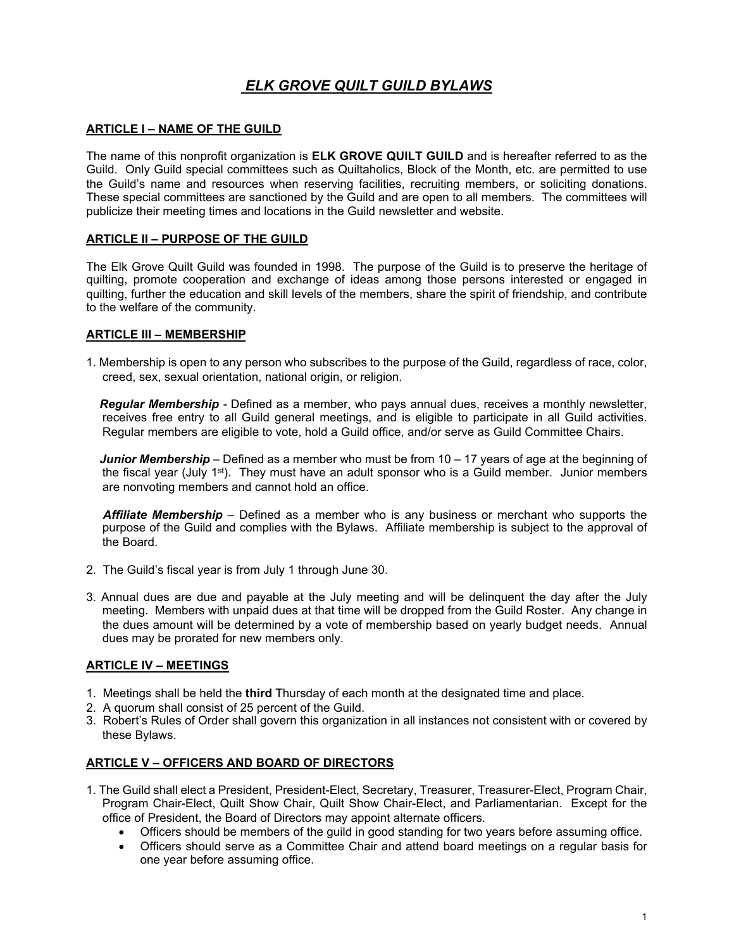# *ELK GROVE QUILT GUILD BYLAWS*

#### **ARTICLE I – NAME OF THE GUILD**

The name of this nonprofit organization is **ELK GROVE QUILT GUILD** and is hereafter referred to as the Guild. Only Guild special committees such as Quiltaholics, Block of the Month, etc. are permitted to use the Guild's name and resources when reserving facilities, recruiting members, or soliciting donations. These special committees are sanctioned by the Guild and are open to all members. The committees will publicize their meeting times and locations in the Guild newsletter and website.

#### **ARTICLE II – PURPOSE OF THE GUILD**

The Elk Grove Quilt Guild was founded in 1998. The purpose of the Guild is to preserve the heritage of quilting, promote cooperation and exchange of ideas among those persons interested or engaged in quilting, further the education and skill levels of the members, share the spirit of friendship, and contribute to the welfare of the community.

#### **ARTICLE III – MEMBERSHIP**

1. Membership is open to any person who subscribes to the purpose of the Guild, regardless of race, color, creed, sex, sexual orientation, national origin, or religion.

 *Regular Membership -* Defined as a member, who pays annual dues, receives a monthly newsletter, receives free entry to all Guild general meetings, and is eligible to participate in all Guild activities. Regular members are eligible to vote, hold a Guild office, and/or serve as Guild Committee Chairs.

 *Junior Membership –* Defined as a member who must be from 10 – 17 years of age at the beginning of the fiscal year (July  $1<sup>st</sup>$ ). They must have an adult sponsor who is a Guild member. Junior members are nonvoting members and cannot hold an office.

 *Affiliate Membership –* Defined as a member who is any business or merchant who supports the purpose of the Guild and complies with the Bylaws. Affiliate membership is subject to the approval of the Board.

- 2. The Guild's fiscal year is from July 1 through June 30.
- 3. Annual dues are due and payable at the July meeting and will be delinquent the day after the July meeting. Members with unpaid dues at that time will be dropped from the Guild Roster. Any change in the dues amount will be determined by a vote of membership based on yearly budget needs. Annual dues may be prorated for new members only.

### **ARTICLE IV – MEETINGS**

- 1. Meetings shall be held the **third** Thursday of each month at the designated time and place.
- 2. A quorum shall consist of 25 percent of the Guild.
- 3. Robert's Rules of Order shall govern this organization in all instances not consistent with or covered by these Bylaws.

### **ARTICLE V – OFFICERS AND BOARD OF DIRECTORS**

- 1. The Guild shall elect a President, President-Elect, Secretary, Treasurer, Treasurer-Elect, Program Chair, Program Chair-Elect, Quilt Show Chair, Quilt Show Chair-Elect, and Parliamentarian. Except for the office of President, the Board of Directors may appoint alternate officers.
	- Officers should be members of the guild in good standing for two years before assuming office.
	- Officers should serve as a Committee Chair and attend board meetings on a regular basis for one year before assuming office.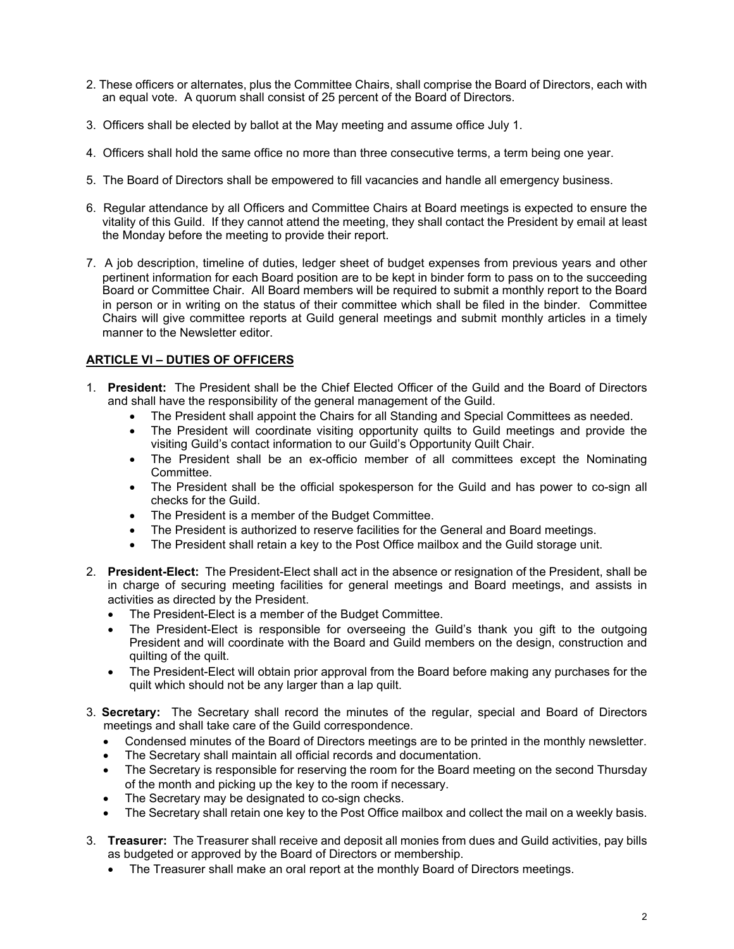- 2. These officers or alternates, plus the Committee Chairs, shall comprise the Board of Directors, each with an equal vote. A quorum shall consist of 25 percent of the Board of Directors.
- 3. Officers shall be elected by ballot at the May meeting and assume office July 1.
- 4. Officers shall hold the same office no more than three consecutive terms, a term being one year.
- 5. The Board of Directors shall be empowered to fill vacancies and handle all emergency business.
- 6. Regular attendance by all Officers and Committee Chairs at Board meetings is expected to ensure the vitality of this Guild. If they cannot attend the meeting, they shall contact the President by email at least the Monday before the meeting to provide their report.
- 7. A job description, timeline of duties, ledger sheet of budget expenses from previous years and other pertinent information for each Board position are to be kept in binder form to pass on to the succeeding Board or Committee Chair. All Board members will be required to submit a monthly report to the Board in person or in writing on the status of their committee which shall be filed in the binder. Committee Chairs will give committee reports at Guild general meetings and submit monthly articles in a timely manner to the Newsletter editor.

### **ARTICLE VI – DUTIES OF OFFICERS**

- 1. **President:** The President shall be the Chief Elected Officer of the Guild and the Board of Directors and shall have the responsibility of the general management of the Guild.
	- The President shall appoint the Chairs for all Standing and Special Committees as needed.
	- The President will coordinate visiting opportunity quilts to Guild meetings and provide the visiting Guild's contact information to our Guild's Opportunity Quilt Chair.
	- The President shall be an ex-officio member of all committees except the Nominating Committee.
	- The President shall be the official spokesperson for the Guild and has power to co-sign all checks for the Guild.
	- The President is a member of the Budget Committee.
	- The President is authorized to reserve facilities for the General and Board meetings.
	- The President shall retain a key to the Post Office mailbox and the Guild storage unit.
- 2. **President-Elect:** The President-Elect shall act in the absence or resignation of the President, shall be in charge of securing meeting facilities for general meetings and Board meetings, and assists in activities as directed by the President.
	- The President-Elect is a member of the Budget Committee.
	- The President-Elect is responsible for overseeing the Guild's thank you gift to the outgoing President and will coordinate with the Board and Guild members on the design, construction and quilting of the quilt.
	- The President-Elect will obtain prior approval from the Board before making any purchases for the quilt which should not be any larger than a lap quilt.
- 3. **Secretary:** The Secretary shall record the minutes of the regular, special and Board of Directors meetings and shall take care of the Guild correspondence.
	- Condensed minutes of the Board of Directors meetings are to be printed in the monthly newsletter.
	- The Secretary shall maintain all official records and documentation.
	- The Secretary is responsible for reserving the room for the Board meeting on the second Thursday of the month and picking up the key to the room if necessary.
	- The Secretary may be designated to co-sign checks.
	- The Secretary shall retain one key to the Post Office mailbox and collect the mail on a weekly basis.
- 3. **Treasurer:** The Treasurer shall receive and deposit all monies from dues and Guild activities, pay bills as budgeted or approved by the Board of Directors or membership.
	- The Treasurer shall make an oral report at the monthly Board of Directors meetings.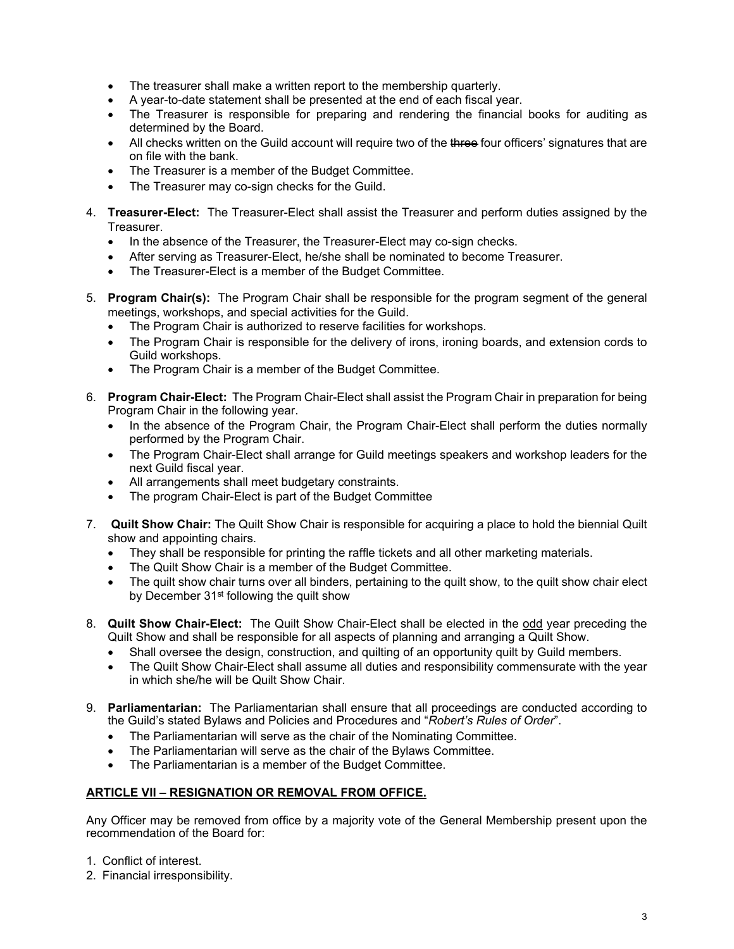- The treasurer shall make a written report to the membership quarterly.
- A year-to-date statement shall be presented at the end of each fiscal year.
- The Treasurer is responsible for preparing and rendering the financial books for auditing as determined by the Board.
- All checks written on the Guild account will require two of the three four officers' signatures that are on file with the bank.
- The Treasurer is a member of the Budget Committee.
- The Treasurer may co-sign checks for the Guild.
- 4. **Treasurer-Elect:** The Treasurer-Elect shall assist the Treasurer and perform duties assigned by the **Treasurer.** 
	- In the absence of the Treasurer, the Treasurer-Elect may co-sign checks.
	- After serving as Treasurer-Elect, he/she shall be nominated to become Treasurer.
	- The Treasurer-Elect is a member of the Budget Committee.
- 5. **Program Chair(s):** The Program Chair shall be responsible for the program segment of the general meetings, workshops, and special activities for the Guild.
	- The Program Chair is authorized to reserve facilities for workshops.
	- The Program Chair is responsible for the delivery of irons, ironing boards, and extension cords to Guild workshops.
	- The Program Chair is a member of the Budget Committee.
- 6. **Program Chair-Elect:** The Program Chair-Elect shall assist the Program Chair in preparation for being Program Chair in the following year.
	- In the absence of the Program Chair, the Program Chair-Elect shall perform the duties normally performed by the Program Chair.
	- The Program Chair-Elect shall arrange for Guild meetings speakers and workshop leaders for the next Guild fiscal year.
	- All arrangements shall meet budgetary constraints.
	- The program Chair-Elect is part of the Budget Committee
- 7. **Quilt Show Chair:** The Quilt Show Chair is responsible for acquiring a place to hold the biennial Quilt show and appointing chairs.
	- They shall be responsible for printing the raffle tickets and all other marketing materials.
	- The Quilt Show Chair is a member of the Budget Committee.
	- The quilt show chair turns over all binders, pertaining to the quilt show, to the quilt show chair elect by December 31<sup>st</sup> following the quilt show
- 8. **Quilt Show Chair-Elect:** The Quilt Show Chair-Elect shall be elected in the odd year preceding the Quilt Show and shall be responsible for all aspects of planning and arranging a Quilt Show.
	- Shall oversee the design, construction, and quilting of an opportunity quilt by Guild members.
	- The Quilt Show Chair-Elect shall assume all duties and responsibility commensurate with the year in which she/he will be Quilt Show Chair.
- 9. **Parliamentarian:** The Parliamentarian shall ensure that all proceedings are conducted according to the Guild's stated Bylaws and Policies and Procedures and "*Robert's Rules of Order*".
	- The Parliamentarian will serve as the chair of the Nominating Committee.
	- The Parliamentarian will serve as the chair of the Bylaws Committee.
	- The Parliamentarian is a member of the Budget Committee.

### **ARTICLE VII – RESIGNATION OR REMOVAL FROM OFFICE.**

Any Officer may be removed from office by a majority vote of the General Membership present upon the recommendation of the Board for:

- 1. Conflict of interest.
- 2. Financial irresponsibility.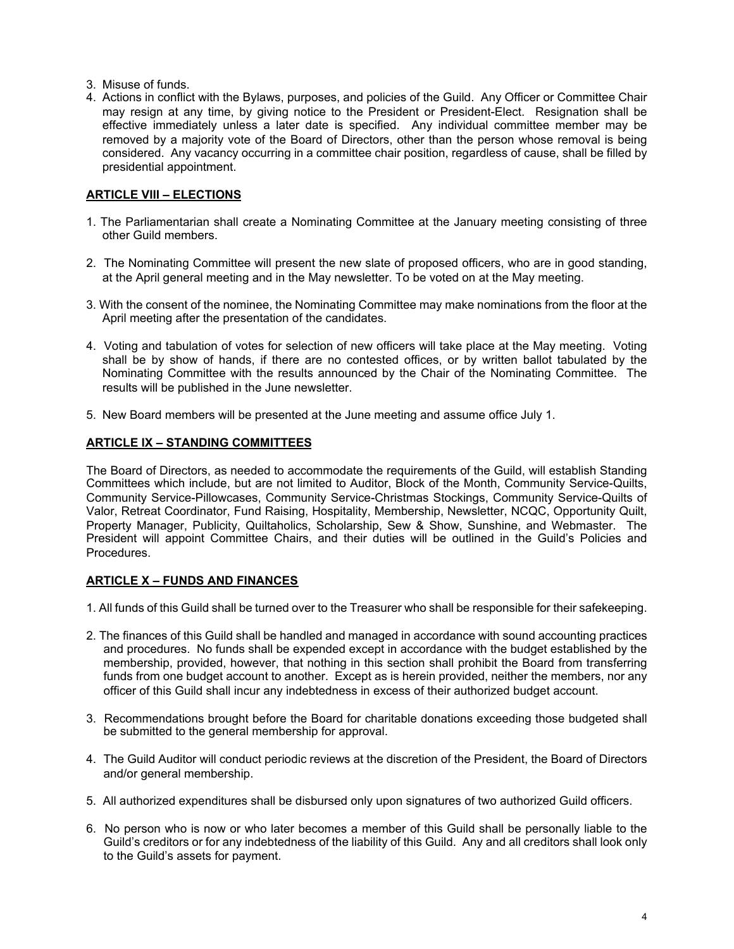- 3. Misuse of funds.
- 4. Actions in conflict with the Bylaws, purposes, and policies of the Guild. Any Officer or Committee Chair may resign at any time, by giving notice to the President or President-Elect. Resignation shall be effective immediately unless a later date is specified. Any individual committee member may be removed by a majority vote of the Board of Directors, other than the person whose removal is being considered. Any vacancy occurring in a committee chair position, regardless of cause, shall be filled by presidential appointment.

### **ARTICLE VIII – ELECTIONS**

- 1. The Parliamentarian shall create a Nominating Committee at the January meeting consisting of three other Guild members.
- 2. The Nominating Committee will present the new slate of proposed officers, who are in good standing, at the April general meeting and in the May newsletter. To be voted on at the May meeting.
- 3. With the consent of the nominee, the Nominating Committee may make nominations from the floor at the April meeting after the presentation of the candidates.
- 4. Voting and tabulation of votes for selection of new officers will take place at the May meeting. Voting shall be by show of hands, if there are no contested offices, or by written ballot tabulated by the Nominating Committee with the results announced by the Chair of the Nominating Committee. The results will be published in the June newsletter.
- 5. New Board members will be presented at the June meeting and assume office July 1.

#### **ARTICLE IX – STANDING COMMITTEES**

The Board of Directors, as needed to accommodate the requirements of the Guild, will establish Standing Committees which include, but are not limited to Auditor, Block of the Month, Community Service-Quilts, Community Service-Pillowcases, Community Service-Christmas Stockings, Community Service-Quilts of Valor, Retreat Coordinator, Fund Raising, Hospitality, Membership, Newsletter, NCQC, Opportunity Quilt, Property Manager, Publicity, Quiltaholics, Scholarship, Sew & Show, Sunshine, and Webmaster. The President will appoint Committee Chairs, and their duties will be outlined in the Guild's Policies and Procedures.

### **ARTICLE X – FUNDS AND FINANCES**

- 1. All funds of this Guild shall be turned over to the Treasurer who shall be responsible for their safekeeping.
- 2. The finances of this Guild shall be handled and managed in accordance with sound accounting practices and procedures. No funds shall be expended except in accordance with the budget established by the membership, provided, however, that nothing in this section shall prohibit the Board from transferring funds from one budget account to another. Except as is herein provided, neither the members, nor any officer of this Guild shall incur any indebtedness in excess of their authorized budget account.
- 3. Recommendations brought before the Board for charitable donations exceeding those budgeted shall be submitted to the general membership for approval.
- 4. The Guild Auditor will conduct periodic reviews at the discretion of the President, the Board of Directors and/or general membership.
- 5. All authorized expenditures shall be disbursed only upon signatures of two authorized Guild officers.
- 6. No person who is now or who later becomes a member of this Guild shall be personally liable to the Guild's creditors or for any indebtedness of the liability of this Guild. Any and all creditors shall look only to the Guild's assets for payment.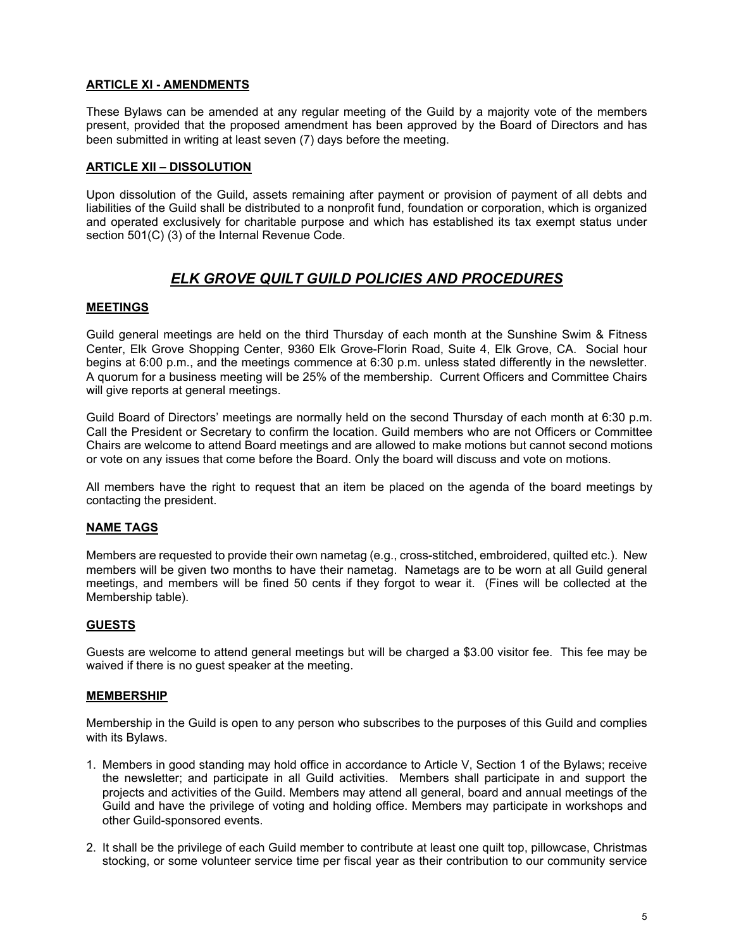### **ARTICLE XI - AMENDMENTS**

These Bylaws can be amended at any regular meeting of the Guild by a majority vote of the members present, provided that the proposed amendment has been approved by the Board of Directors and has been submitted in writing at least seven (7) days before the meeting.

#### **ARTICLE XII – DISSOLUTION**

Upon dissolution of the Guild, assets remaining after payment or provision of payment of all debts and liabilities of the Guild shall be distributed to a nonprofit fund, foundation or corporation, which is organized and operated exclusively for charitable purpose and which has established its tax exempt status under section 501(C) (3) of the Internal Revenue Code.

## *ELK GROVE QUILT GUILD POLICIES AND PROCEDURES*

#### **MEETINGS**

Guild general meetings are held on the third Thursday of each month at the Sunshine Swim & Fitness Center, Elk Grove Shopping Center, 9360 Elk Grove-Florin Road, Suite 4, Elk Grove, CA. Social hour begins at 6:00 p.m., and the meetings commence at 6:30 p.m. unless stated differently in the newsletter. A quorum for a business meeting will be 25% of the membership. Current Officers and Committee Chairs will give reports at general meetings.

Guild Board of Directors' meetings are normally held on the second Thursday of each month at 6:30 p.m. Call the President or Secretary to confirm the location. Guild members who are not Officers or Committee Chairs are welcome to attend Board meetings and are allowed to make motions but cannot second motions or vote on any issues that come before the Board. Only the board will discuss and vote on motions.

All members have the right to request that an item be placed on the agenda of the board meetings by contacting the president.

### **NAME TAGS**

Members are requested to provide their own nametag (e.g., cross-stitched, embroidered, quilted etc.). New members will be given two months to have their nametag. Nametags are to be worn at all Guild general meetings, and members will be fined 50 cents if they forgot to wear it. (Fines will be collected at the Membership table).

#### **GUESTS**

Guests are welcome to attend general meetings but will be charged a \$3.00 visitor fee. This fee may be waived if there is no guest speaker at the meeting.

#### **MEMBERSHIP**

Membership in the Guild is open to any person who subscribes to the purposes of this Guild and complies with its Bylaws.

- 1. Members in good standing may hold office in accordance to Article V, Section 1 of the Bylaws; receive the newsletter; and participate in all Guild activities. Members shall participate in and support the projects and activities of the Guild. Members may attend all general, board and annual meetings of the Guild and have the privilege of voting and holding office. Members may participate in workshops and other Guild-sponsored events.
- 2. It shall be the privilege of each Guild member to contribute at least one quilt top, pillowcase, Christmas stocking, or some volunteer service time per fiscal year as their contribution to our community service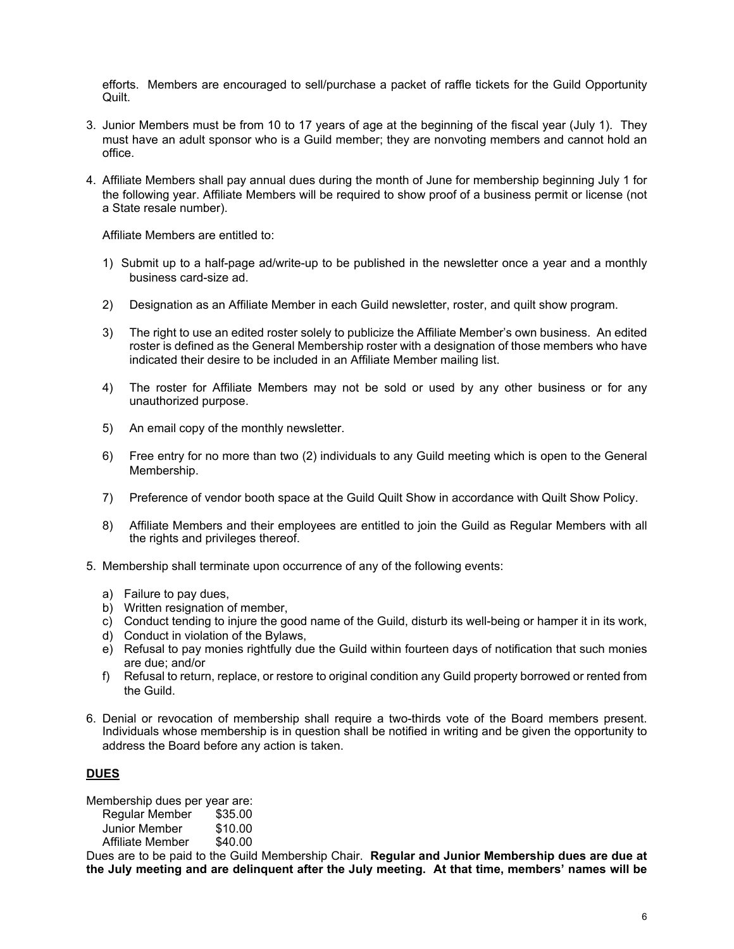efforts. Members are encouraged to sell/purchase a packet of raffle tickets for the Guild Opportunity Quilt.

- 3. Junior Members must be from 10 to 17 years of age at the beginning of the fiscal year (July 1). They must have an adult sponsor who is a Guild member; they are nonvoting members and cannot hold an office.
- 4. Affiliate Members shall pay annual dues during the month of June for membership beginning July 1 for the following year. Affiliate Members will be required to show proof of a business permit or license (not a State resale number).

Affiliate Members are entitled to:

- 1) Submit up to a half-page ad/write-up to be published in the newsletter once a year and a monthly business card-size ad.
- 2) Designation as an Affiliate Member in each Guild newsletter, roster, and quilt show program.
- 3) The right to use an edited roster solely to publicize the Affiliate Member's own business. An edited roster is defined as the General Membership roster with a designation of those members who have indicated their desire to be included in an Affiliate Member mailing list.
- 4) The roster for Affiliate Members may not be sold or used by any other business or for any unauthorized purpose.
- 5) An email copy of the monthly newsletter.
- 6) Free entry for no more than two (2) individuals to any Guild meeting which is open to the General Membership.
- 7) Preference of vendor booth space at the Guild Quilt Show in accordance with Quilt Show Policy.
- 8) Affiliate Members and their employees are entitled to join the Guild as Regular Members with all the rights and privileges thereof.
- 5. Membership shall terminate upon occurrence of any of the following events:
	- a) Failure to pay dues,
	- b) Written resignation of member,
	- c) Conduct tending to injure the good name of the Guild, disturb its well-being or hamper it in its work,
	- d) Conduct in violation of the Bylaws,
	- e) Refusal to pay monies rightfully due the Guild within fourteen days of notification that such monies are due; and/or
	- f) Refusal to return, replace, or restore to original condition any Guild property borrowed or rented from the Guild.
- 6. Denial or revocation of membership shall require a two-thirds vote of the Board members present. Individuals whose membership is in question shall be notified in writing and be given the opportunity to address the Board before any action is taken.

#### **DUES**

Membership dues per year are: Regular Member \$35.00

| Regular Merriber | <b>JJJ.UU</b> |
|------------------|---------------|
| Junior Member    | \$10.00       |
| Affiliate Member | \$40.00       |

Dues are to be paid to the Guild Membership Chair. **Regular and Junior Membership dues are due at the July meeting and are delinquent after the July meeting. At that time, members' names will be**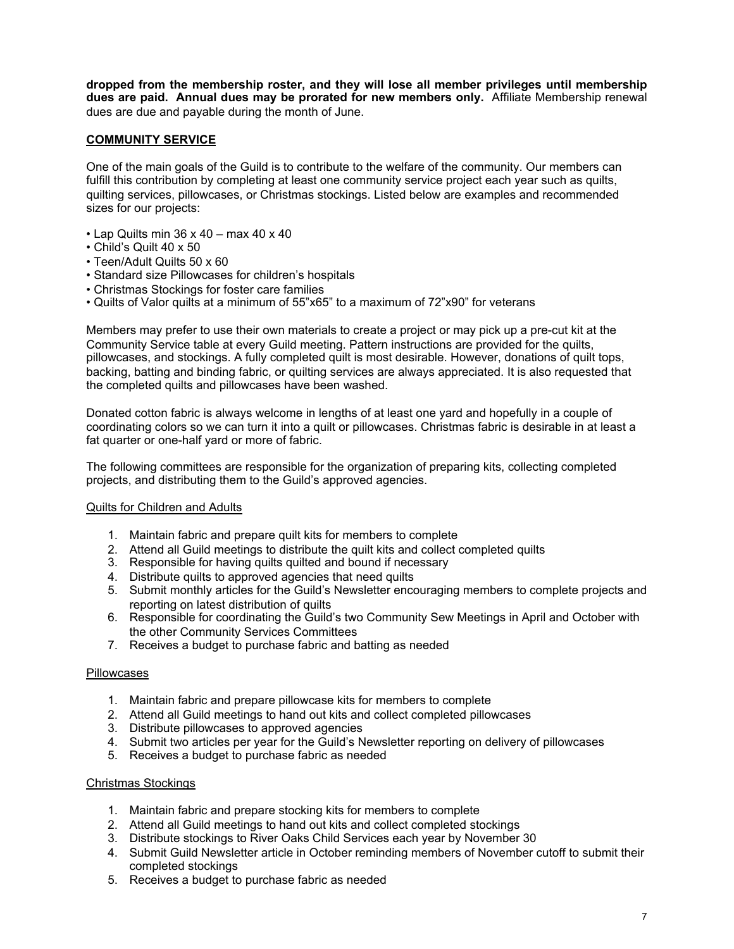**dropped from the membership roster, and they will lose all member privileges until membership dues are paid. Annual dues may be prorated for new members only.** Affiliate Membership renewal dues are due and payable during the month of June.

#### **COMMUNITY SERVICE**

One of the main goals of the Guild is to contribute to the welfare of the community. Our members can fulfill this contribution by completing at least one community service project each year such as quilts, quilting services, pillowcases, or Christmas stockings. Listed below are examples and recommended sizes for our projects:

- $\cdot$  Lap Quilts min 36 x 40 max 40 x 40
- Child's Quilt 40 x 50
- Teen/Adult Quilts 50 x 60
- Standard size Pillowcases for children's hospitals
- Christmas Stockings for foster care families
- Quilts of Valor quilts at a minimum of 55"x65" to a maximum of 72"x90" for veterans

Members may prefer to use their own materials to create a project or may pick up a pre-cut kit at the Community Service table at every Guild meeting. Pattern instructions are provided for the quilts, pillowcases, and stockings. A fully completed quilt is most desirable. However, donations of quilt tops, backing, batting and binding fabric, or quilting services are always appreciated. It is also requested that the completed quilts and pillowcases have been washed.

Donated cotton fabric is always welcome in lengths of at least one yard and hopefully in a couple of coordinating colors so we can turn it into a quilt or pillowcases. Christmas fabric is desirable in at least a fat quarter or one-half yard or more of fabric.

The following committees are responsible for the organization of preparing kits, collecting completed projects, and distributing them to the Guild's approved agencies.

#### Quilts for Children and Adults

- 1. Maintain fabric and prepare quilt kits for members to complete
- 2. Attend all Guild meetings to distribute the quilt kits and collect completed quilts
- 3. Responsible for having quilts quilted and bound if necessary
- 4. Distribute quilts to approved agencies that need quilts
- 5. Submit monthly articles for the Guild's Newsletter encouraging members to complete projects and reporting on latest distribution of quilts
- 6. Responsible for coordinating the Guild's two Community Sew Meetings in April and October with the other Community Services Committees
- 7. Receives a budget to purchase fabric and batting as needed

#### **Pillowcases**

- 1. Maintain fabric and prepare pillowcase kits for members to complete
- 2. Attend all Guild meetings to hand out kits and collect completed pillowcases
- 3. Distribute pillowcases to approved agencies
- 4. Submit two articles per year for the Guild's Newsletter reporting on delivery of pillowcases
- 5. Receives a budget to purchase fabric as needed

#### Christmas Stockings

- 1. Maintain fabric and prepare stocking kits for members to complete
- 2. Attend all Guild meetings to hand out kits and collect completed stockings
- 3. Distribute stockings to River Oaks Child Services each year by November 30
- 4. Submit Guild Newsletter article in October reminding members of November cutoff to submit their completed stockings
- 5. Receives a budget to purchase fabric as needed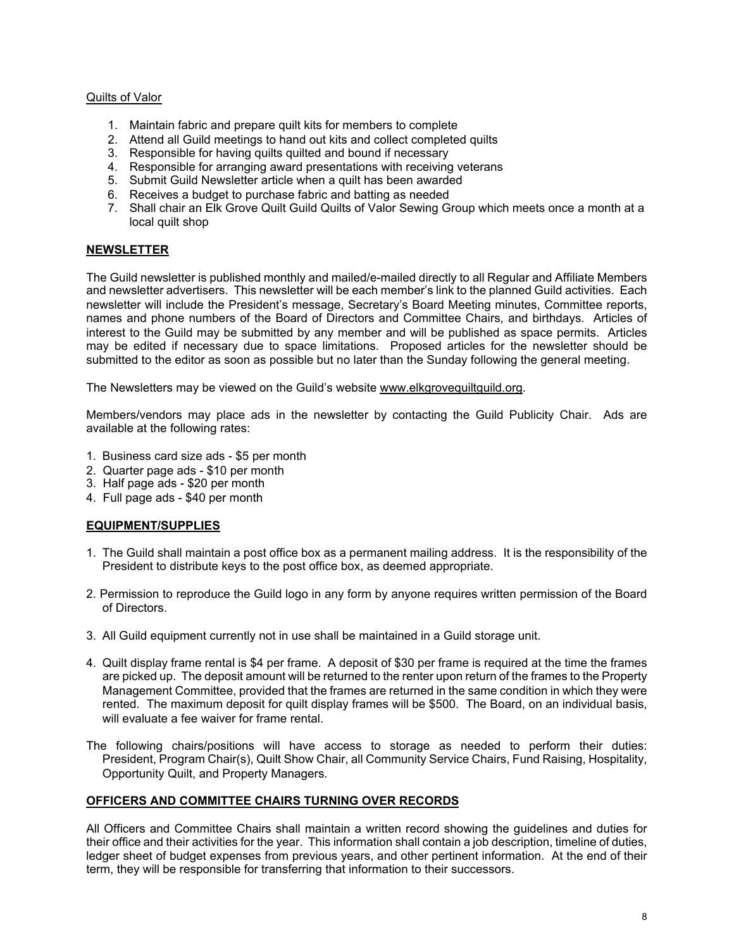#### Quilts of Valor

- 1. Maintain fabric and prepare quilt kits for members to complete
- 2. Attend all Guild meetings to hand out kits and collect completed quilts
- 3. Responsible for having quilts quilted and bound if necessary
- 4. Responsible for arranging award presentations with receiving veterans
- 5. Submit Guild Newsletter article when a quilt has been awarded
- 6. Receives a budget to purchase fabric and batting as needed
- 7. Shall chair an Elk Grove Quilt Guild Quilts of Valor Sewing Group which meets once a month at a local quilt shop

#### **NEWSLETTER**

The Guild newsletter is published monthly and mailed/e-mailed directly to all Regular and Affiliate Members and newsletter advertisers. This newsletter will be each member's link to the planned Guild activities. Each newsletter will include the President's message, Secretary's Board Meeting minutes, Committee reports, names and phone numbers of the Board of Directors and Committee Chairs, and birthdays. Articles of interest to the Guild may be submitted by any member and will be published as space permits. Articles may be edited if necessary due to space limitations. Proposed articles for the newsletter should be submitted to the editor as soon as possible but no later than the Sunday following the general meeting.

The Newsletters may be viewed on the Guild's website www.elkgrovequiltguild.org.

Members/vendors may place ads in the newsletter by contacting the Guild Publicity Chair. Ads are available at the following rates:

- 1. Business card size ads \$5 per month
- 2. Quarter page ads \$10 per month
- 3. Half page ads \$20 per month
- 4. Full page ads \$40 per month

### **EQUIPMENT/SUPPLIES**

- 1. The Guild shall maintain a post office box as a permanent mailing address. It is the responsibility of the President to distribute keys to the post office box, as deemed appropriate.
- 2. Permission to reproduce the Guild logo in any form by anyone requires written permission of the Board of Directors.
- 3. All Guild equipment currently not in use shall be maintained in a Guild storage unit.
- 4. Quilt display frame rental is \$4 per frame. A deposit of \$30 per frame is required at the time the frames are picked up. The deposit amount will be returned to the renter upon return of the frames to the Property Management Committee, provided that the frames are returned in the same condition in which they were rented. The maximum deposit for quilt display frames will be \$500. The Board, on an individual basis, will evaluate a fee waiver for frame rental.
- The following chairs/positions will have access to storage as needed to perform their duties: President, Program Chair(s), Quilt Show Chair, all Community Service Chairs, Fund Raising, Hospitality, Opportunity Quilt, and Property Managers.

### **OFFICERS AND COMMITTEE CHAIRS TURNING OVER RECORDS**

All Officers and Committee Chairs shall maintain a written record showing the guidelines and duties for their office and their activities for the year. This information shall contain a job description, timeline of duties, ledger sheet of budget expenses from previous years, and other pertinent information. At the end of their term, they will be responsible for transferring that information to their successors.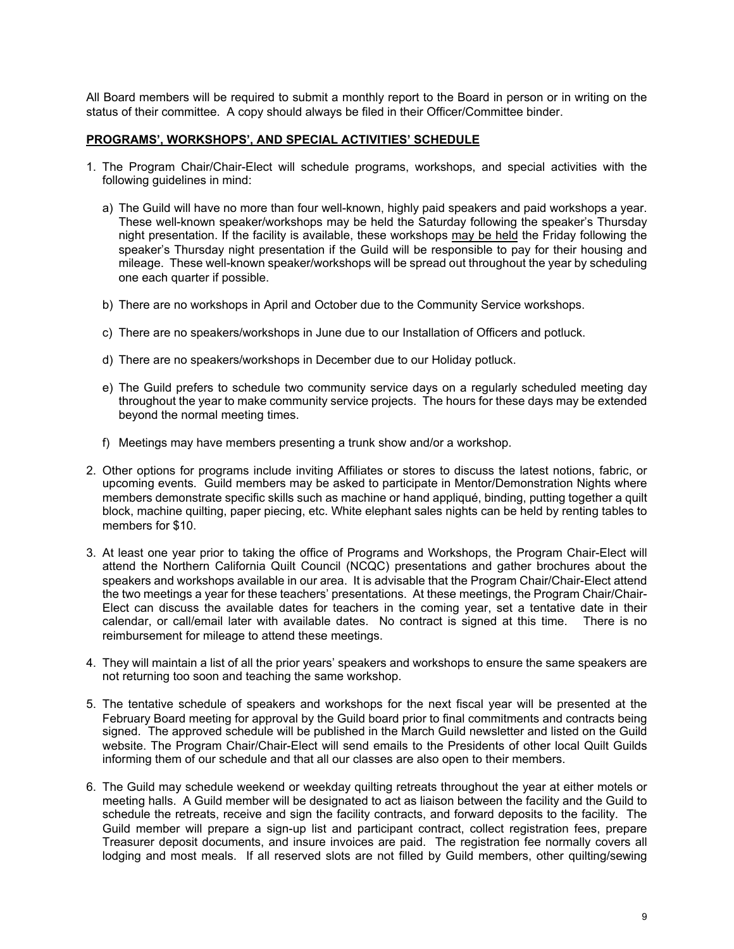All Board members will be required to submit a monthly report to the Board in person or in writing on the status of their committee. A copy should always be filed in their Officer/Committee binder.

#### **PROGRAMS', WORKSHOPS', AND SPECIAL ACTIVITIES' SCHEDULE**

- 1. The Program Chair/Chair-Elect will schedule programs, workshops, and special activities with the following guidelines in mind:
	- a) The Guild will have no more than four well-known, highly paid speakers and paid workshops a year. These well-known speaker/workshops may be held the Saturday following the speaker's Thursday night presentation. If the facility is available, these workshops may be held the Friday following the speaker's Thursday night presentation if the Guild will be responsible to pay for their housing and mileage. These well-known speaker/workshops will be spread out throughout the year by scheduling one each quarter if possible.
	- b) There are no workshops in April and October due to the Community Service workshops.
	- c) There are no speakers/workshops in June due to our Installation of Officers and potluck.
	- d) There are no speakers/workshops in December due to our Holiday potluck.
	- e) The Guild prefers to schedule two community service days on a regularly scheduled meeting day throughout the year to make community service projects. The hours for these days may be extended beyond the normal meeting times.
	- f) Meetings may have members presenting a trunk show and/or a workshop.
- 2. Other options for programs include inviting Affiliates or stores to discuss the latest notions, fabric, or upcoming events. Guild members may be asked to participate in Mentor/Demonstration Nights where members demonstrate specific skills such as machine or hand appliqué, binding, putting together a quilt block, machine quilting, paper piecing, etc. White elephant sales nights can be held by renting tables to members for \$10.
- 3. At least one year prior to taking the office of Programs and Workshops, the Program Chair-Elect will attend the Northern California Quilt Council (NCQC) presentations and gather brochures about the speakers and workshops available in our area. It is advisable that the Program Chair/Chair-Elect attend the two meetings a year for these teachers' presentations. At these meetings, the Program Chair/Chair-Elect can discuss the available dates for teachers in the coming year, set a tentative date in their calendar, or call/email later with available dates. No contract is signed at this time. There is no reimbursement for mileage to attend these meetings.
- 4. They will maintain a list of all the prior years' speakers and workshops to ensure the same speakers are not returning too soon and teaching the same workshop.
- 5. The tentative schedule of speakers and workshops for the next fiscal year will be presented at the February Board meeting for approval by the Guild board prior to final commitments and contracts being signed. The approved schedule will be published in the March Guild newsletter and listed on the Guild website. The Program Chair/Chair-Elect will send emails to the Presidents of other local Quilt Guilds informing them of our schedule and that all our classes are also open to their members.
- 6. The Guild may schedule weekend or weekday quilting retreats throughout the year at either motels or meeting halls. A Guild member will be designated to act as liaison between the facility and the Guild to schedule the retreats, receive and sign the facility contracts, and forward deposits to the facility. The Guild member will prepare a sign-up list and participant contract, collect registration fees, prepare Treasurer deposit documents, and insure invoices are paid. The registration fee normally covers all lodging and most meals. If all reserved slots are not filled by Guild members, other quilting/sewing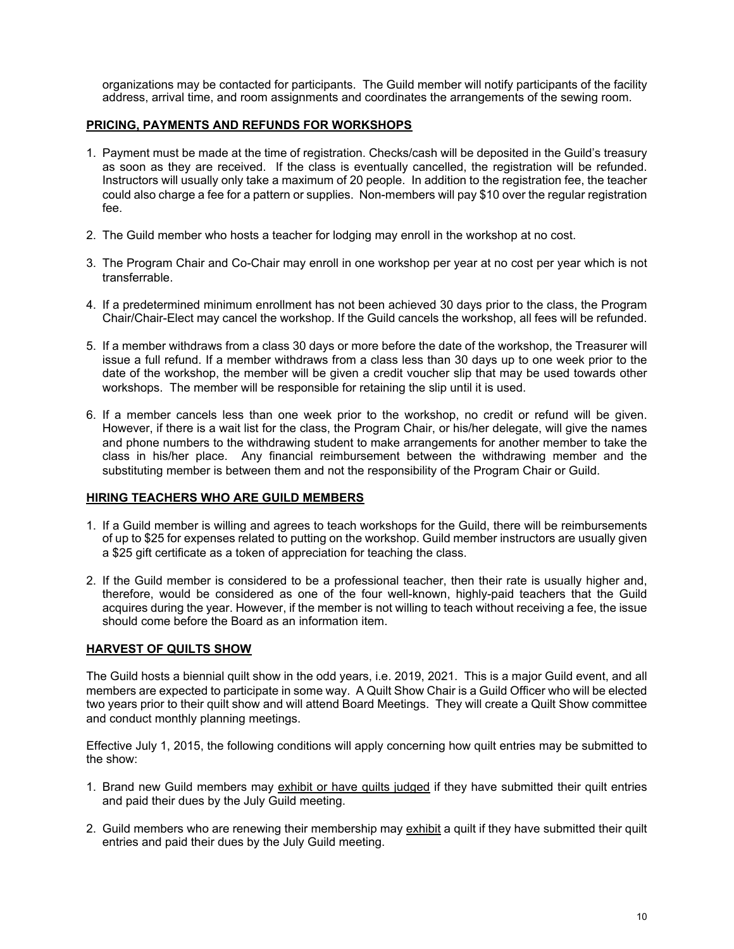organizations may be contacted for participants. The Guild member will notify participants of the facility address, arrival time, and room assignments and coordinates the arrangements of the sewing room.

#### **PRICING, PAYMENTS AND REFUNDS FOR WORKSHOPS**

- 1. Payment must be made at the time of registration. Checks/cash will be deposited in the Guild's treasury as soon as they are received. If the class is eventually cancelled, the registration will be refunded. Instructors will usually only take a maximum of 20 people. In addition to the registration fee, the teacher could also charge a fee for a pattern or supplies. Non-members will pay \$10 over the regular registration fee.
- 2. The Guild member who hosts a teacher for lodging may enroll in the workshop at no cost.
- 3. The Program Chair and Co-Chair may enroll in one workshop per year at no cost per year which is not transferrable.
- 4. If a predetermined minimum enrollment has not been achieved 30 days prior to the class, the Program Chair/Chair-Elect may cancel the workshop. If the Guild cancels the workshop, all fees will be refunded.
- 5. If a member withdraws from a class 30 days or more before the date of the workshop, the Treasurer will issue a full refund. If a member withdraws from a class less than 30 days up to one week prior to the date of the workshop, the member will be given a credit voucher slip that may be used towards other workshops. The member will be responsible for retaining the slip until it is used.
- 6. If a member cancels less than one week prior to the workshop, no credit or refund will be given. However, if there is a wait list for the class, the Program Chair, or his/her delegate, will give the names and phone numbers to the withdrawing student to make arrangements for another member to take the class in his/her place. Any financial reimbursement between the withdrawing member and the substituting member is between them and not the responsibility of the Program Chair or Guild.

### **HIRING TEACHERS WHO ARE GUILD MEMBERS**

- 1. If a Guild member is willing and agrees to teach workshops for the Guild, there will be reimbursements of up to \$25 for expenses related to putting on the workshop. Guild member instructors are usually given a \$25 gift certificate as a token of appreciation for teaching the class.
- 2. If the Guild member is considered to be a professional teacher, then their rate is usually higher and, therefore, would be considered as one of the four well-known, highly-paid teachers that the Guild acquires during the year. However, if the member is not willing to teach without receiving a fee, the issue should come before the Board as an information item.

### **HARVEST OF QUILTS SHOW**

The Guild hosts a biennial quilt show in the odd years, i.e. 2019, 2021. This is a major Guild event, and all members are expected to participate in some way. A Quilt Show Chair is a Guild Officer who will be elected two years prior to their quilt show and will attend Board Meetings. They will create a Quilt Show committee and conduct monthly planning meetings.

Effective July 1, 2015, the following conditions will apply concerning how quilt entries may be submitted to the show:

- 1. Brand new Guild members may exhibit or have quilts judged if they have submitted their quilt entries and paid their dues by the July Guild meeting.
- 2. Guild members who are renewing their membership may exhibit a quilt if they have submitted their quilt entries and paid their dues by the July Guild meeting.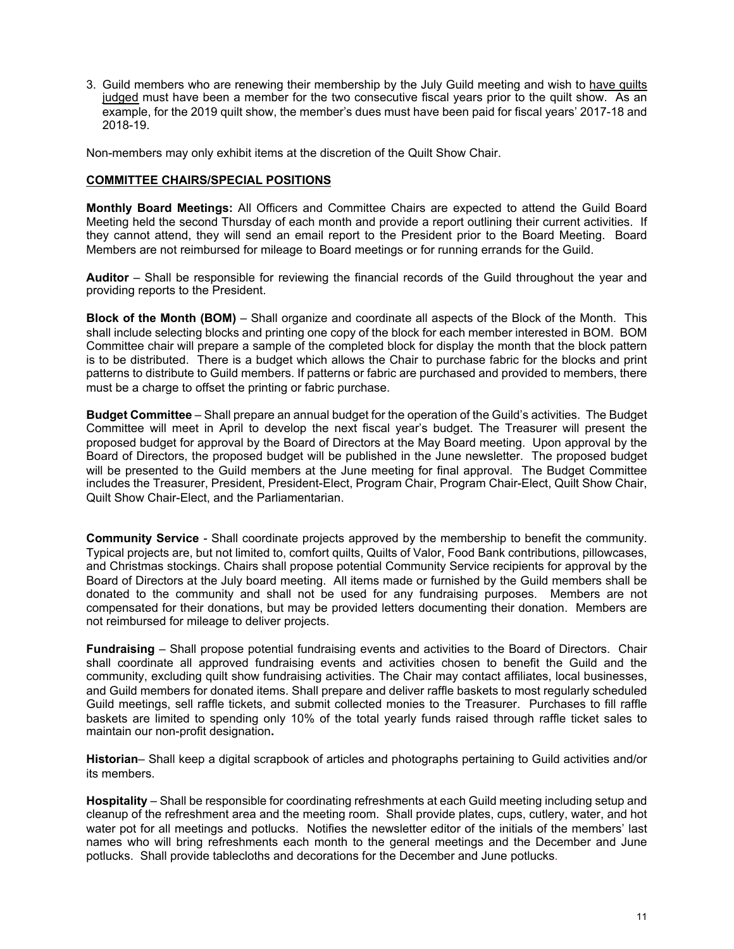3. Guild members who are renewing their membership by the July Guild meeting and wish to have quilts judged must have been a member for the two consecutive fiscal years prior to the quilt show. As an example, for the 2019 quilt show, the member's dues must have been paid for fiscal years' 2017-18 and 2018-19.

Non-members may only exhibit items at the discretion of the Quilt Show Chair.

#### **COMMITTEE CHAIRS/SPECIAL POSITIONS**

**Monthly Board Meetings:** All Officers and Committee Chairs are expected to attend the Guild Board Meeting held the second Thursday of each month and provide a report outlining their current activities. If they cannot attend, they will send an email report to the President prior to the Board Meeting. Board Members are not reimbursed for mileage to Board meetings or for running errands for the Guild.

**Auditor** – Shall be responsible for reviewing the financial records of the Guild throughout the year and providing reports to the President.

**Block of the Month (BOM)** *–* Shall organize and coordinate all aspects of the Block of the Month. This shall include selecting blocks and printing one copy of the block for each member interested in BOM. BOM Committee chair will prepare a sample of the completed block for display the month that the block pattern is to be distributed. There is a budget which allows the Chair to purchase fabric for the blocks and print patterns to distribute to Guild members. If patterns or fabric are purchased and provided to members, there must be a charge to offset the printing or fabric purchase.

**Budget Committee** *–* Shall prepare an annual budget for the operation of the Guild's activities. The Budget Committee will meet in April to develop the next fiscal year's budget. The Treasurer will present the proposed budget for approval by the Board of Directors at the May Board meeting. Upon approval by the Board of Directors, the proposed budget will be published in the June newsletter. The proposed budget will be presented to the Guild members at the June meeting for final approval. The Budget Committee includes the Treasurer, President, President-Elect, Program Chair, Program Chair-Elect, Quilt Show Chair, Quilt Show Chair-Elect, and the Parliamentarian.

**Community Service** *-* Shall coordinate projects approved by the membership to benefit the community. Typical projects are, but not limited to, comfort quilts, Quilts of Valor, Food Bank contributions, pillowcases, and Christmas stockings. Chairs shall propose potential Community Service recipients for approval by the Board of Directors at the July board meeting. All items made or furnished by the Guild members shall be donated to the community and shall not be used for any fundraising purposes. Members are not compensated for their donations, but may be provided letters documenting their donation. Members are not reimbursed for mileage to deliver projects.

**Fundraising** – Shall propose potential fundraising events and activities to the Board of Directors. Chair shall coordinate all approved fundraising events and activities chosen to benefit the Guild and the community, excluding quilt show fundraising activities. The Chair may contact affiliates, local businesses, and Guild members for donated items. Shall prepare and deliver raffle baskets to most regularly scheduled Guild meetings, sell raffle tickets, and submit collected monies to the Treasurer. Purchases to fill raffle baskets are limited to spending only 10% of the total yearly funds raised through raffle ticket sales to maintain our non-profit designation**.** 

**Historian**– Shall keep a digital scrapbook of articles and photographs pertaining to Guild activities and/or its members.

**Hospitality** – Shall be responsible for coordinating refreshments at each Guild meeting including setup and cleanup of the refreshment area and the meeting room. Shall provide plates, cups, cutlery, water, and hot water pot for all meetings and potlucks. Notifies the newsletter editor of the initials of the members' last names who will bring refreshments each month to the general meetings and the December and June potlucks. Shall provide tablecloths and decorations for the December and June potlucks.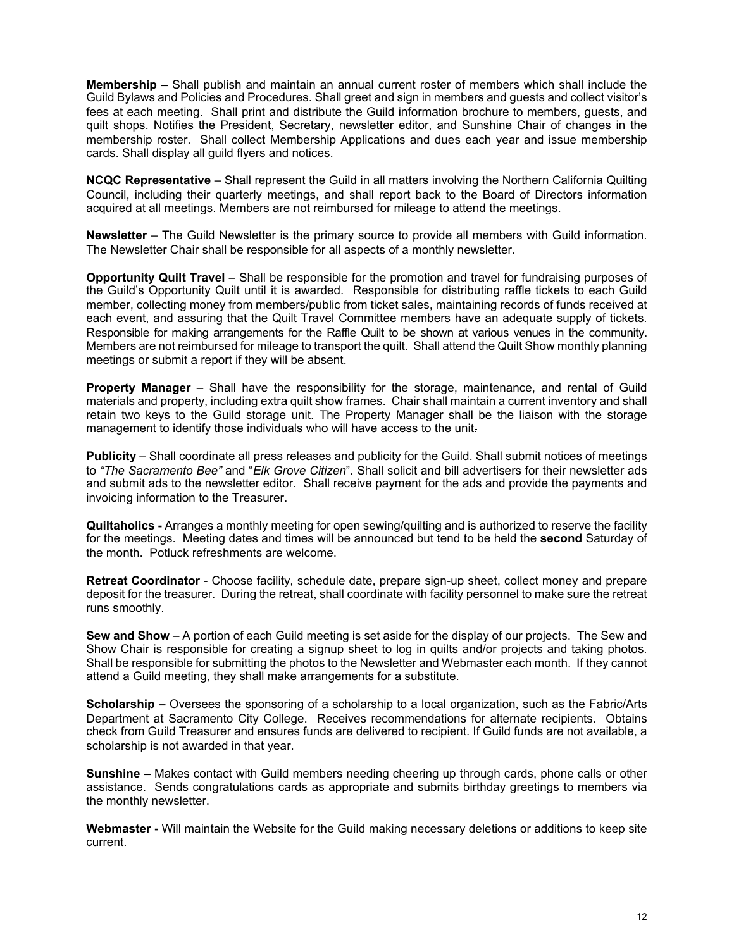**Membership –** Shall publish and maintain an annual current roster of members which shall include the Guild Bylaws and Policies and Procedures. Shall greet and sign in members and guests and collect visitor's fees at each meeting. Shall print and distribute the Guild information brochure to members, guests, and quilt shops. Notifies the President, Secretary, newsletter editor, and Sunshine Chair of changes in the membership roster. Shall collect Membership Applications and dues each year and issue membership cards. Shall display all guild flyers and notices.

**NCQC Representative** – Shall represent the Guild in all matters involving the Northern California Quilting Council, including their quarterly meetings, and shall report back to the Board of Directors information acquired at all meetings. Members are not reimbursed for mileage to attend the meetings.

**Newsletter** – The Guild Newsletter is the primary source to provide all members with Guild information. The Newsletter Chair shall be responsible for all aspects of a monthly newsletter.

**Opportunity Quilt Travel** – Shall be responsible for the promotion and travel for fundraising purposes of the Guild's Opportunity Quilt until it is awarded. Responsible for distributing raffle tickets to each Guild member, collecting money from members/public from ticket sales, maintaining records of funds received at each event, and assuring that the Quilt Travel Committee members have an adequate supply of tickets. Responsible for making arrangements for the Raffle Quilt to be shown at various venues in the community. Members are not reimbursed for mileage to transport the quilt. Shall attend the Quilt Show monthly planning meetings or submit a report if they will be absent.

**Property Manager** – Shall have the responsibility for the storage, maintenance, and rental of Guild materials and property, including extra quilt show frames. Chair shall maintain a current inventory and shall retain two keys to the Guild storage unit. The Property Manager shall be the liaison with the storage management to identify those individuals who will have access to the unit.

**Publicity** – Shall coordinate all press releases and publicity for the Guild. Shall submit notices of meetings to *"The Sacramento Bee"* and "*Elk Grove Citizen*". Shall solicit and bill advertisers for their newsletter ads and submit ads to the newsletter editor. Shall receive payment for the ads and provide the payments and invoicing information to the Treasurer.

**Quiltaholics -** Arranges a monthly meeting for open sewing/quilting and is authorized to reserve the facility for the meetings. Meeting dates and times will be announced but tend to be held the **second** Saturday of the month. Potluck refreshments are welcome.

**Retreat Coordinator** - Choose facility, schedule date, prepare sign-up sheet, collect money and prepare deposit for the treasurer. During the retreat, shall coordinate with facility personnel to make sure the retreat runs smoothly.

**Sew and Show** – A portion of each Guild meeting is set aside for the display of our projects. The Sew and Show Chair is responsible for creating a signup sheet to log in quilts and/or projects and taking photos. Shall be responsible for submitting the photos to the Newsletter and Webmaster each month. If they cannot attend a Guild meeting, they shall make arrangements for a substitute.

**Scholarship –** Oversees the sponsoring of a scholarship to a local organization, such as the Fabric/Arts Department at Sacramento City College. Receives recommendations for alternate recipients. Obtains check from Guild Treasurer and ensures funds are delivered to recipient. If Guild funds are not available, a scholarship is not awarded in that year.

**Sunshine –** Makes contact with Guild members needing cheering up through cards, phone calls or other assistance. Sends congratulations cards as appropriate and submits birthday greetings to members via the monthly newsletter.

**Webmaster -** Will maintain the Website for the Guild making necessary deletions or additions to keep site current.